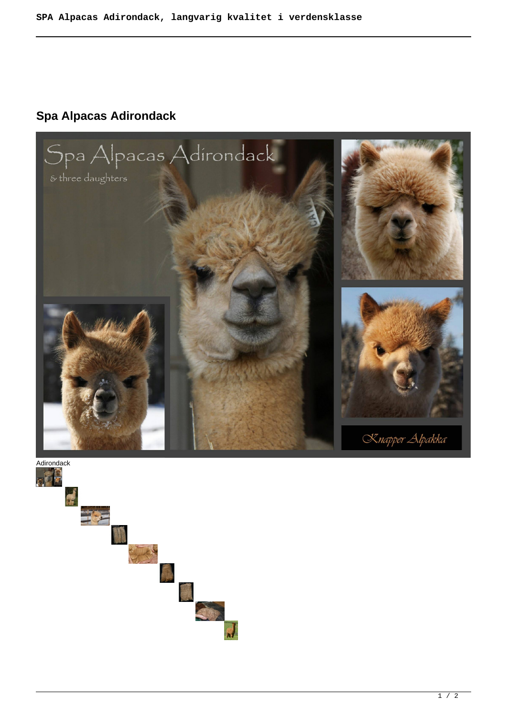## **Spa Alpacas Adirondack**